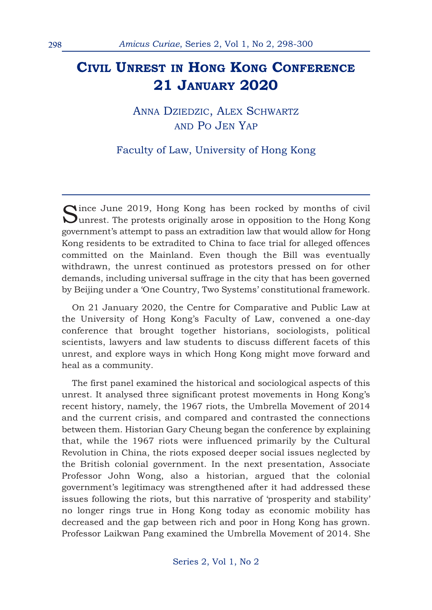## **CIVIL UNREST IN HONG KONG CONFERENCE 21 JANUARY 2020**

ANNA DZIEDZIC, ALEX SCHWARTZ AND PO JEN YAP

Faculty of Law, University of Hong Kong

Since June 2019, Hong Kong has been rocked by months of civil<br>Sunrest. The protests originally arose in opposition to the Hong Kong government's attempt to pass an extradition law that would allow for Hong Kong residents to be extradited to China to face trial for alleged offences committed on the Mainland. Even though the Bill was eventually withdrawn, the unrest continued as protestors pressed on for other demands, including universal suffrage in the city that has been governed by Beijing under a 'One Country, Two Systems' constitutional framework.

On 21 January 2020, the Centre for Comparative and Public Law at the University of Hong Kong's Faculty of Law, convened a one-day conference that brought together historians, sociologists, political scientists, lawyers and law students to discuss different facets of this unrest, and explore ways in which Hong Kong might move forward and heal as a community.

The first panel examined the historical and sociological aspects of this unrest. It analysed three significant protest movements in Hong Kong's recent history, namely, the 1967 riots, the Umbrella Movement of 2014 and the current crisis, and compared and contrasted the connections between them. Historian Gary Cheung began the conference by explaining that, while the 1967 riots were influenced primarily by the Cultural Revolution in China, the riots exposed deeper social issues neglected by the British colonial government. In the next presentation, Associate Professor John Wong, also a historian, argued that the colonial government's legitimacy was strengthened after it had addressed these issues following the riots, but this narrative of 'prosperity and stability' no longer rings true in Hong Kong today as economic mobility has decreased and the gap between rich and poor in Hong Kong has grown. Professor Laikwan Pang examined the Umbrella Movement of 2014. She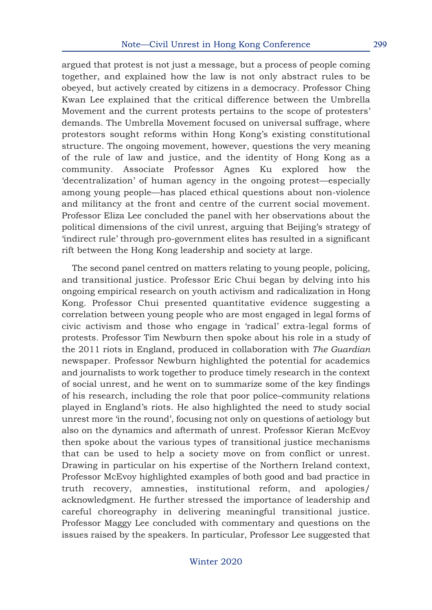argued that protest is not just a message, but a process of people coming together, and explained how the law is not only abstract rules to be obeyed, but actively created by citizens in a democracy. Professor Ching Kwan Lee explained that the critical difference between the Umbrella Movement and the current protests pertains to the scope of protesters' demands. The Umbrella Movement focused on universal suffrage, where protestors sought reforms within Hong Kong's existing constitutional structure. The ongoing movement, however, questions the very meaning of the rule of law and justice, and the identity of Hong Kong as a community. Associate Professor Agnes Ku explored how the 'decentralization' of human agency in the ongoing protest—especially among young people—has placed ethical questions about non-violence and militancy at the front and centre of the current social movement. Professor Eliza Lee concluded the panel with her observations about the political dimensions of the civil unrest, arguing that Beijing's strategy of 'indirect rule' through pro-government elites has resulted in a significant rift between the Hong Kong leadership and society at large.

The second panel centred on matters relating to young people, policing, and transitional justice. Professor Eric Chui began by delving into his ongoing empirical research on youth activism and radicalization in Hong Kong. Professor Chui presented quantitative evidence suggesting a correlation between young people who are most engaged in legal forms of civic activism and those who engage in 'radical' extra-legal forms of protests. Professor Tim Newburn then spoke about his role in a study of the 2011 riots in England, produced in collaboration with *The Guardian* newspaper. Professor Newburn highlighted the potential for academics and journalists to work together to produce timely research in the context of social unrest, and he went on to summarize some of the key findings of his research, including the role that poor police–community relations played in England's riots. He also highlighted the need to study social unrest more 'in the round', focusing not only on questions of aetiology but also on the dynamics and aftermath of unrest. Professor Kieran McEvoy then spoke about the various types of transitional justice mechanisms that can be used to help a society move on from conflict or unrest. Drawing in particular on his expertise of the Northern Ireland context, Professor McEvoy highlighted examples of both good and bad practice in truth recovery, amnesties, institutional reform, and apologies/ acknowledgment. He further stressed the importance of leadership and careful choreography in delivering meaningful transitional justice. Professor Maggy Lee concluded with commentary and questions on the issues raised by the speakers. In particular, Professor Lee suggested that